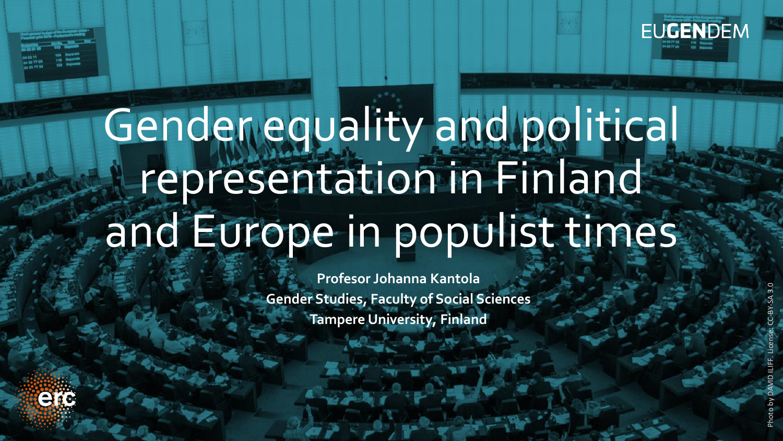

# Gender equality and political representation in Finland and Europe in populist times

**Profesor Johanna Kantola Gender Studies, Faculty of Social Sciences Tampere University, Finland**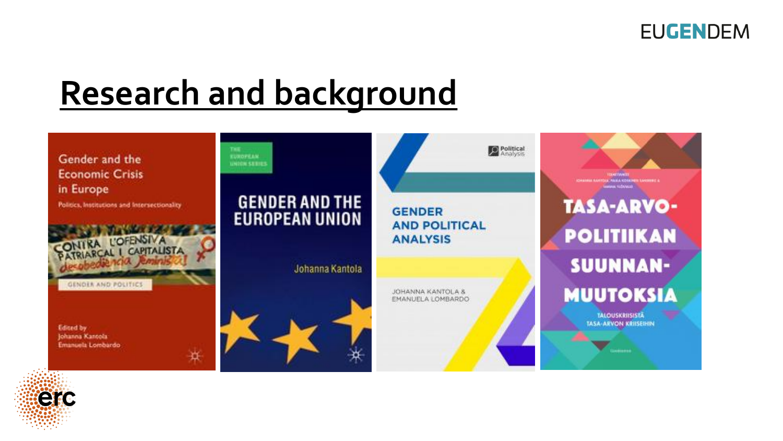

#### **Research and background**



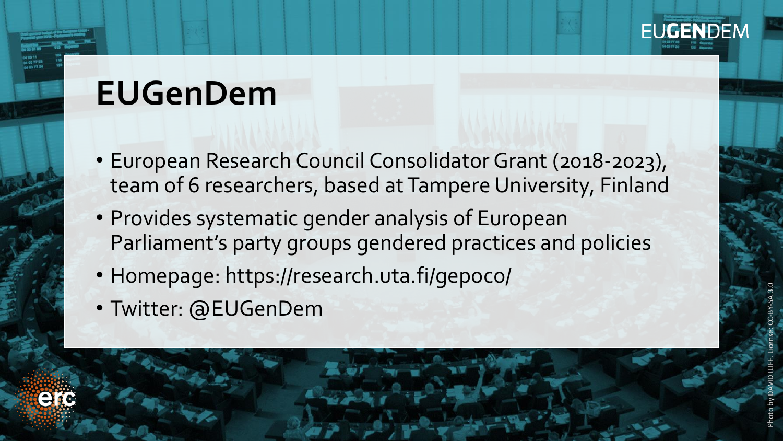

#### **EUGenDem**

- European Research Council Consolidator Grant (2018-2023), team of 6 researchers, based at Tampere University, Finland
- Provides systematic gender analysis of European Parliament's party groups gendered practices and policies
- Homepage: https://research.uta.fi/gepoco/
- Twitter: @EUGenDem



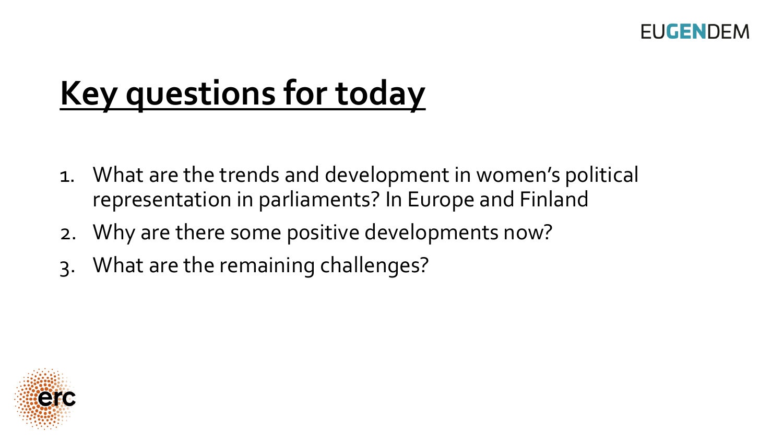

### **Key questions for today**

- 1. What are the trends and development in women's p0litical representation in parliaments? In Europe and Finland
- 2. Why are there some p0sitive developments now?
- 3. What are the remaining challenges?

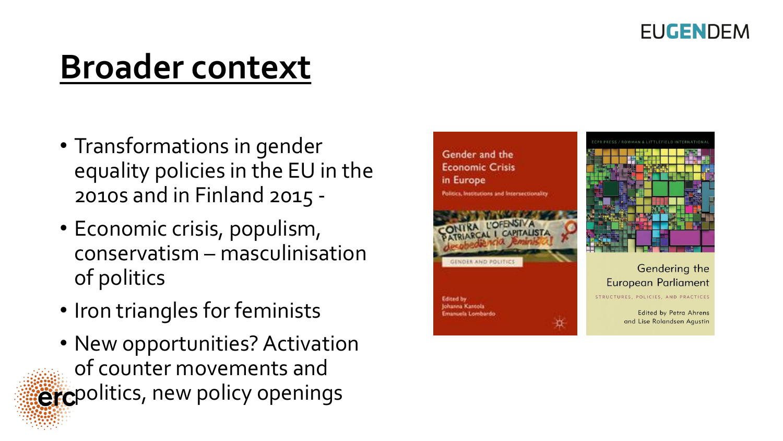

#### **Broader context**

- Transformations in gender equality policies in the EU in the 2010s and in Finland 2015 -
- Economic crisis, populism, conservatism – masculinisation of politics
- Iron triangles for feminists
- New opportunities? Activation of counter movements and ercpolitics, new policy openings

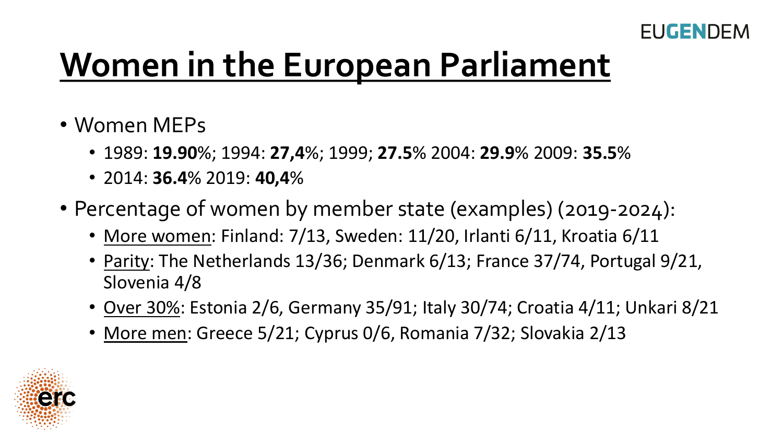

### **Women in the European Parliament**

- Women MEPs
	- 1989: **19.90**%; 1994: **27,4**%; 1999; **27.5**% 2004: **29.9**% 2009: **35.5**%
	- 2014: **36.4**% 2019: **40,4**%
- Percentage of women by member state (examples) (2019-2024):
	- More women: Finland: 7/13, Sweden: 11/20, Irlanti 6/11, Kroatia 6/11
	- Parity: The Netherlands 13/36; Denmark 6/13; France 37/74, Portugal 9/21, Slovenia 4/8
	- Over 30%: Estonia 2/6, Germany 35/91; Italy 30/74; Croatia 4/11; Unkari 8/21
	- More men: Greece 5/21; Cyprus 0/6, Romania 7/32; Slovakia 2/13

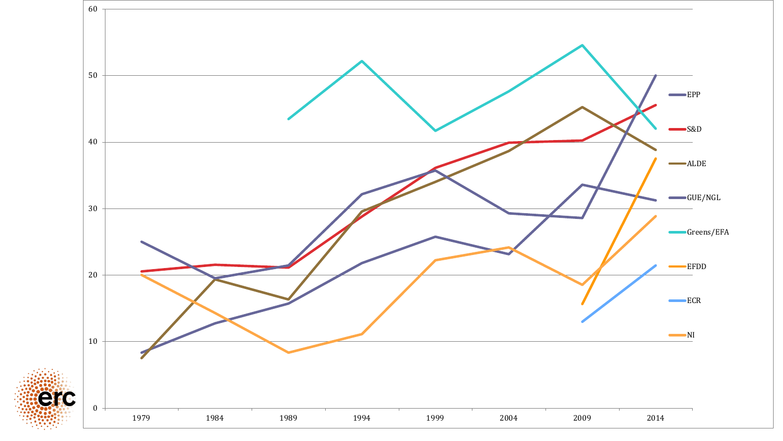

ierc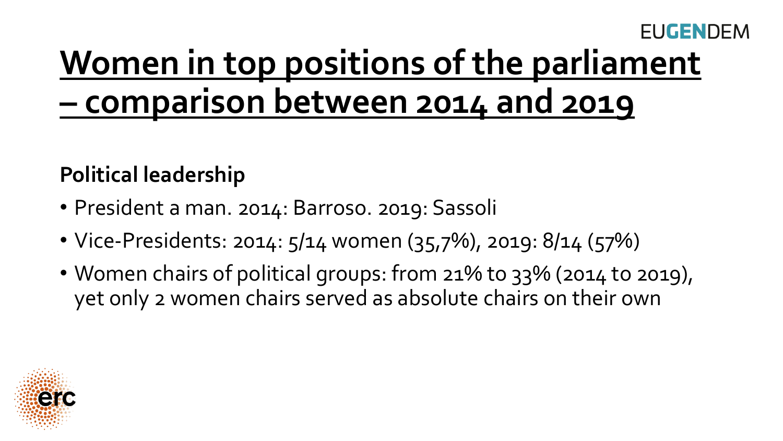#### **FUGENDEM**

### **Women in top positions of the parliament – comparison between 2014 and 2019**

#### **Political leadership**

- President a man. 2014: Barroso. 2019: Sassoli
- Vice-Presidents: 2014: 5/14 women (35,7%), 2019: 8/14 (57%)
- Women chairs of political groups: from 21% to 33% (2014 to 2019), yet only 2 women chairs served as absolute chairs on their own

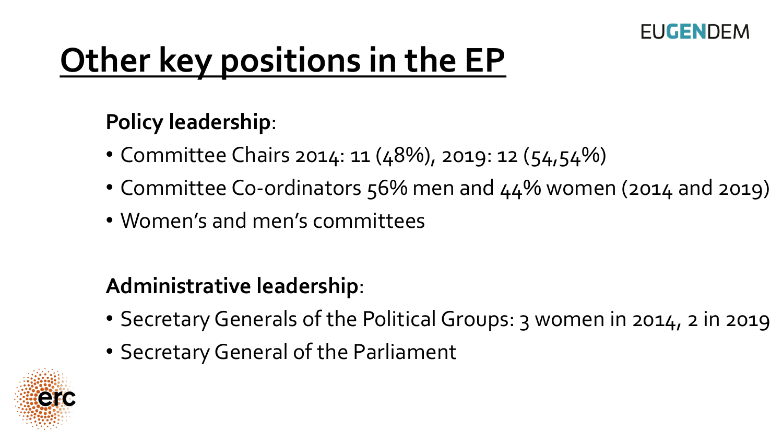

## **Other key positions in the EP**

#### **Policy leadership**:

- Committee Chairs 2014: 11 (48%), 2019: 12 (54,54%)
- Committee Co-ordinators 56% men and 44% women (2014 and 2019)
- Women's and men's committees

#### **Administrative leadership**:

- Secretary Generals of the Political Groups: 3 women in 2014, 2 in 2019
- Secretary General of the Parliament

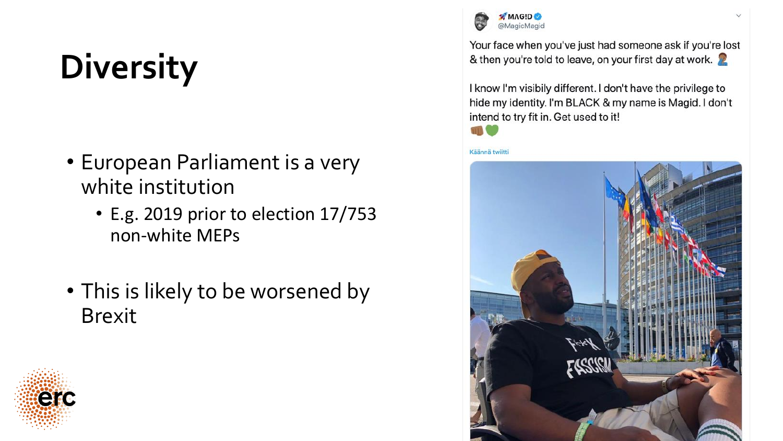## **Diversity**

- European Parliament is a very white institution
	- E.g. 2019 prior to election 17/753 non-white MEPs
- This is likely to be worsened by Brexit





Your face when you've just had someone ask if you're lost & then you're told to leave, on your first day at work.

I know I'm visibily different. I don't have the privilege to hide my identity. I'm BLACK & my name is Magid. I don't intend to try fit in. Get used to it!



Käännä twiitti

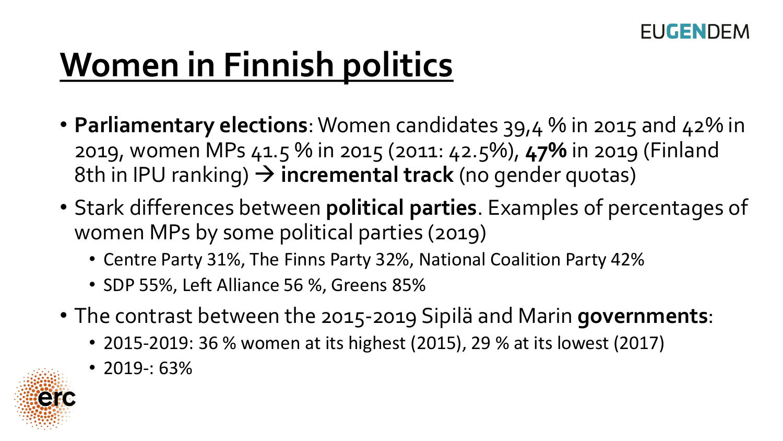

## **Women in Finnish politics**

- **Parliamentary elections**: Women candidates 39,4 % in 2015 and 42% in 2019, women MPs 41.5 % in 2015 (2011: 42.5%), **47%** in 2019 (Finland 8th in IPU ranking) → **incremental track** (no gender quotas)
- Stark differences between **political parties**. Examples of percentages of women MPs by some political parties (2019)
	- Centre Party 31%, The Finns Party 32%, National Coalition Party 42%
	- SDP 55%, Left Alliance 56 %, Greens 85%
- The contrast between the 2015-2019 Sipilä and Marin **governments**:
	- 2015-2019: 36 % women at its highest (2015), 29 % at its lowest (2017)
	- 2019-: 63%

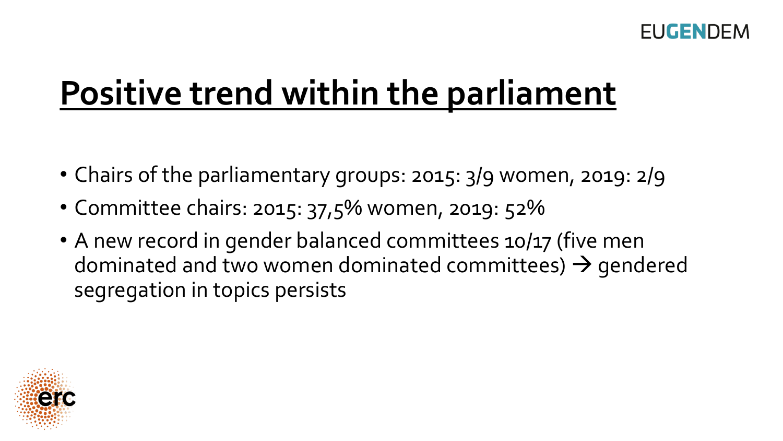### **Positive trend within the parliament**

- Chairs of the parliamentary groups: 2015: 3/9 women, 2019: 2/9
- Committee chairs: 2015: 37,5% women, 2019: 52%
- A new record in gender balanced committees 10/17 (five men dominated and two women dominated committees)  $\rightarrow$  gendered segregation in topics persists

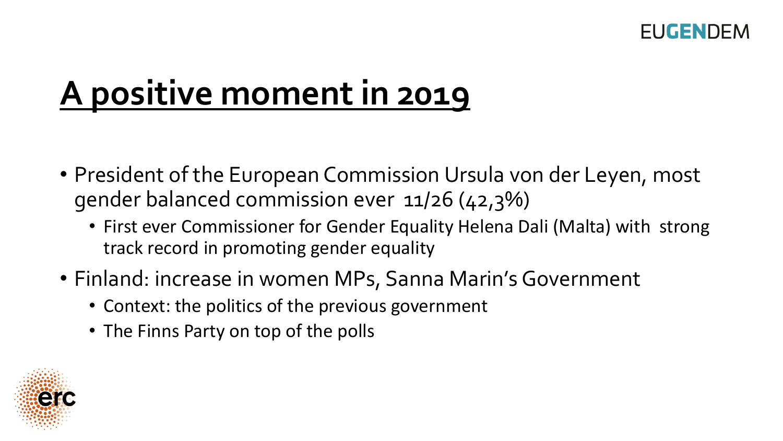

### **A positive moment in 2019**

- President of the European Commission Ursula von der Leyen, most gender balanced commission ever 11/26 (42,3%)
	- First ever Commissioner for Gender Equality Helena Dali (Malta) with strong track record in promoting gender equality
- Finland: increase in women MPs, Sanna Marin's Government
	- Context: the politics of the previous government
	- The Finns Party on top of the polls

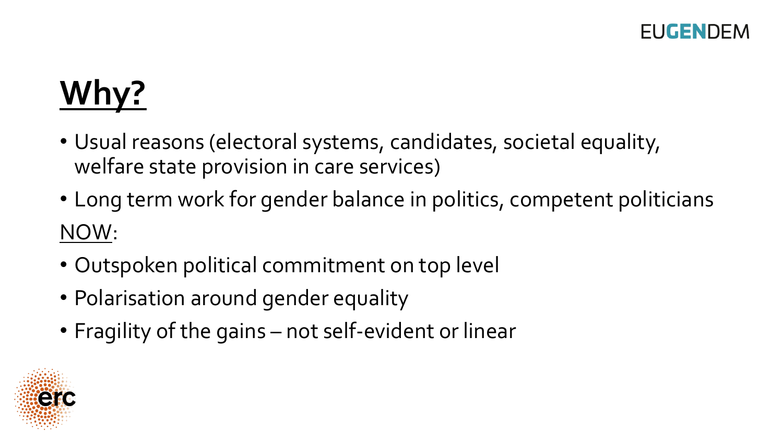## **Why?**

- Usual reasons (electoral systems, candidates, societal equality, welfare state provision in care services)
- Long term work for gender balance in politics, competent politicians NOW:
- Outspoken political commitment on top level
- Polarisation around gender equality
- Fragility of the gains not self-evident or linear

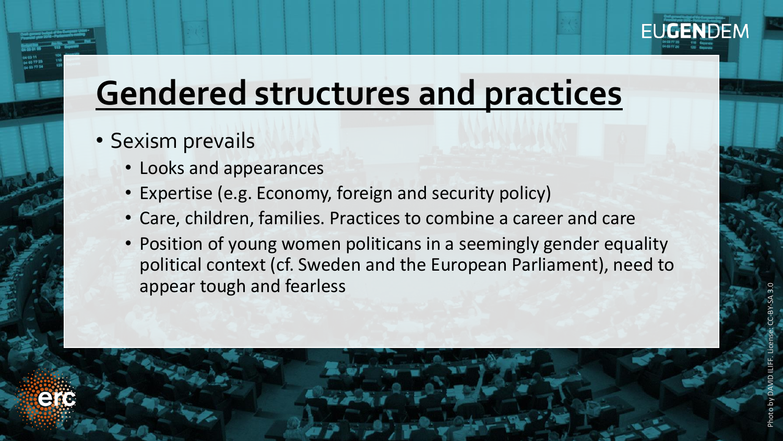

#### **Gendered structures and practices**

- Sexism prevails
	- Looks and appearances
	- Expertise (e.g. Economy, foreign and security policy)
	- Care, children, families. Practices to combine a career and care
	- Position of young women politicans in a seemingly gender equality political context (cf. Sweden and the European Parliament), need to appear tough and fearless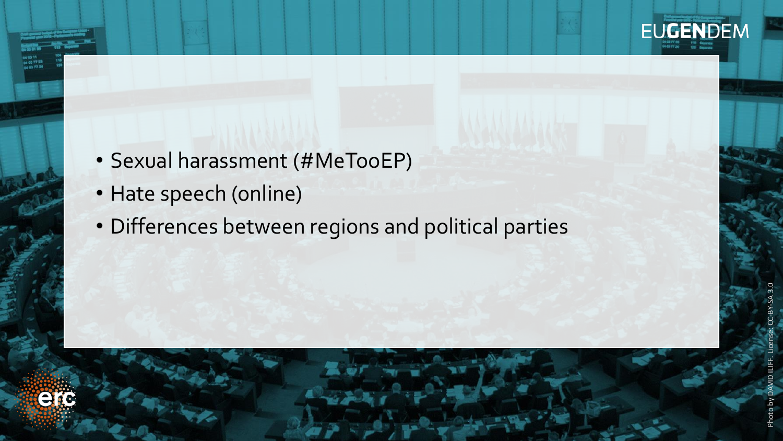

- Sexual harassment (#MeTooEP)
- Hate speech (online)
- Differences between regions and political parties

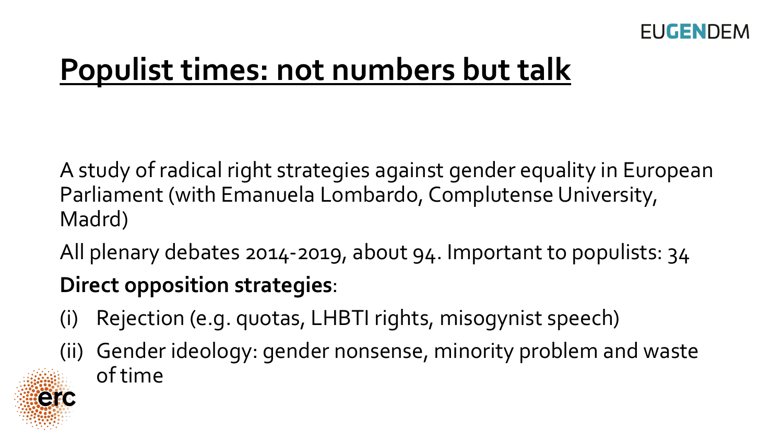

#### **Populist times: not numbers but talk**

A study of radical right strategies against gender equality in European Parliament (with Emanuela Lombardo, Complutense University, Madrd)

All plenary debates 2014-2019, about 94. Important to populists: 34

#### **Direct opposition strategies**:

- (i) Rejection (e.g. quotas, LHBTI rights, misogynist speech)
- (ii) Gender ideology: gender nonsense, minority problem and waste of time

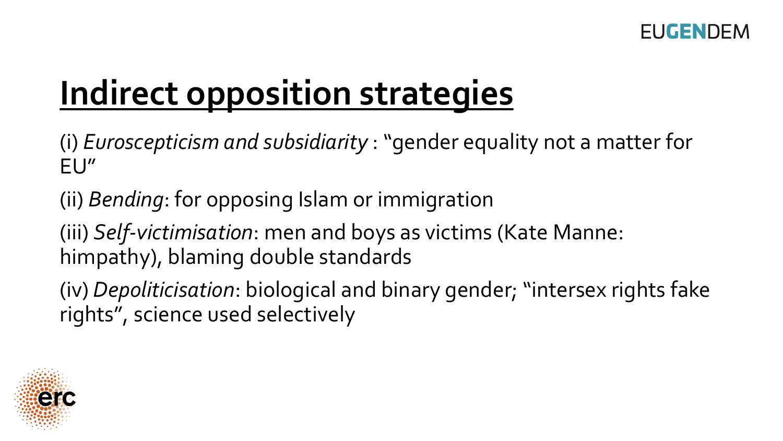## **Indirect opposition strategies**

(i) *Euroscepticism and subsidiarity* : "gender equality not a matter for EU"

(ii) *Bending*: for opposing Islam or immigration

(iii) *Self-victimisation*: men and boys as victims (Kate Manne: himpathy), blaming double standards

(iv) *Depoliticisation*: biological and binary gender; "intersex rights fake rights", science used selectively

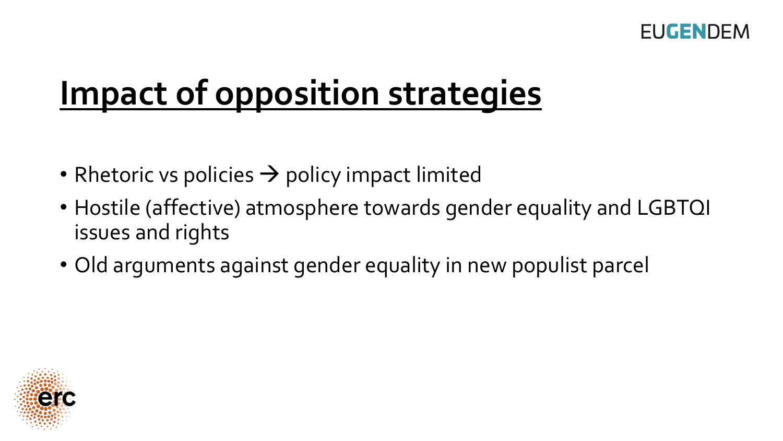

#### **Impact of opposition strategies**

- Rhetoric vs policies  $\rightarrow$  policy impact limited
- Hostile (affective) atmosphere towards gender equality and LGBTQI issues and rights
- Old arguments against gender equality in new populist parcel

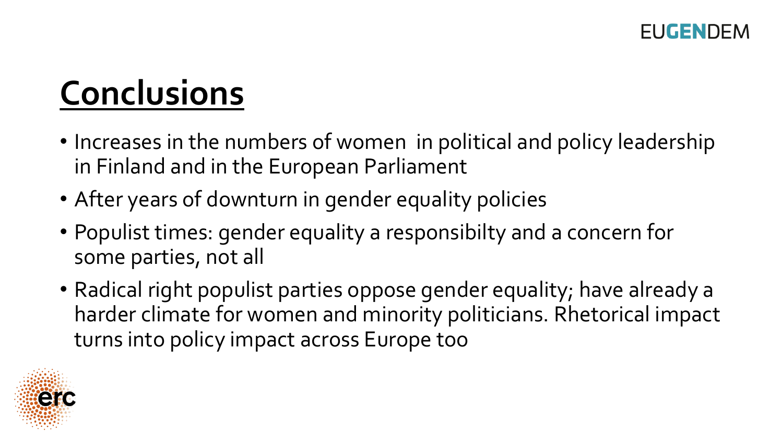

### **Conclusions**

- Increases in the numbers of women in political and policy leadership in Finland and in the European Parliament
- After years of downturn in gender equality policies
- Populist times: gender equality a responsibilty and a concern for some parties, not all
- Radical right populist parties oppose gender equality; have already a harder climate for women and minority politicians. Rhetorical impact turns into policy impact across Europe too